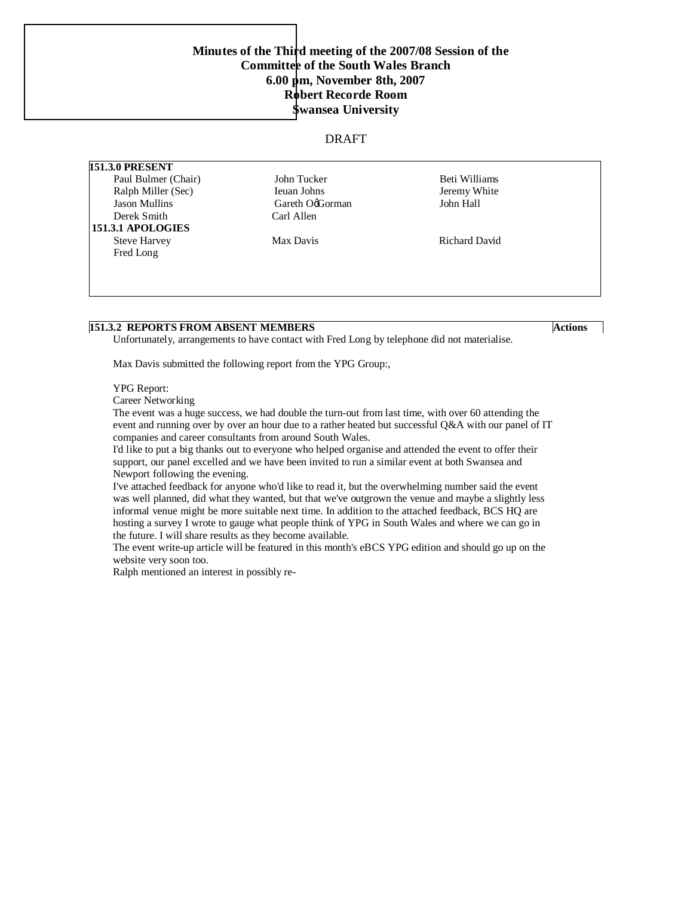## **[Minutes of the Thir](http://www.pdfcomplete.com/cms/hppl/tabid/108/Default.aspx?r=q8b3uige22)d meeting of the 2007/08 Session of the Committee of the South Wales Branch 6.00 pm, November 8th, 2007 Robert Recorde Room Swansea University**

### DRAFT

**151.3.0 PRESENT** Paul Bulmer (Chair) 50 John Tucker Beti Williams Beti Williams Ralph Miller (Sec) Ieuan Johns Jeremy White Jason Mullins Gareth O'Gorman John Hall Derek Smith Carl Allen  **151.3.1 APOLOGIES** Steve Harvey Max Davis Max Davis Richard David Fred Long

## **151.3.2 REPORTS FROM ABSENT MEMBERS** Actions

Unfortunately, arrangements to have contact with Fred Long by telephone did not materialise.

Max Davis submitted the following report from the YPG Group:,

#### YPG Report:

Career Networking

The event was a huge success, we had double the turn-out from last time, with over 60 attending the event and running over by over an hour due to a rather heated but successful Q&A with our panel of IT companies and career consultants from around South Wales.

I'd like to put a big thanks out to everyone who helped organise and attended the event to offer their support, our panel excelled and we have been invited to run a similar event at both Swansea and Newport following the evening.

I've attached feedback for anyone who'd like to read it, but the overwhelming number said the event was well planned, did what they wanted, but that we've outgrown the venue and maybe a slightly less informal venue might be more suitable next time. In addition to the attached feedback, BCS HQ are hosting a survey I wrote to gauge what people think of YPG in South Wales and where we can go in the future. I will share results as they become available.

The event write-up article will be featured in this month's eBCS YPG edition and should go up on the website very soon too.

.92 614[(T)27.11.3037)-25&3@bi(lje26i528d(ami)3&3&S(i)-@9skEJly rQ-rubiling.t4&7SF02026E75299.SA240207729yrAlI@Hrk)0870d(t)}1885&R260n22ruBfi63(lb)df&5852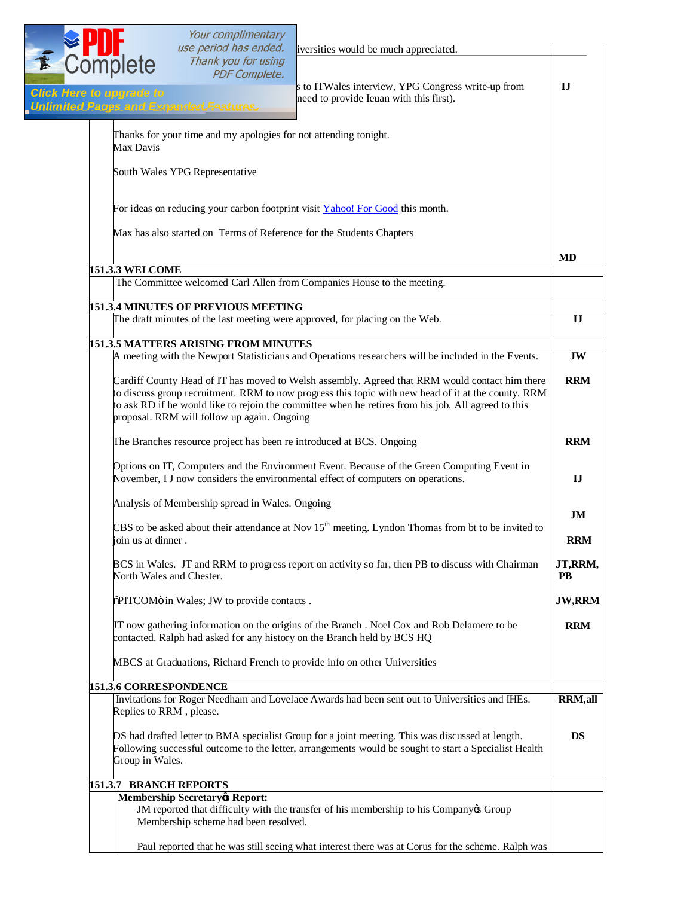|                                 |                                                                                                                                                                                                                                                                                                                                                             | <b>EPUT</b><br>Complete                      | Your complimentary<br>use period has ended.                      | iversities would be much appreciated.                                                                                                                                                                     |                  |
|---------------------------------|-------------------------------------------------------------------------------------------------------------------------------------------------------------------------------------------------------------------------------------------------------------------------------------------------------------------------------------------------------------|----------------------------------------------|------------------------------------------------------------------|-----------------------------------------------------------------------------------------------------------------------------------------------------------------------------------------------------------|------------------|
| <b>Click Here to upgrade to</b> |                                                                                                                                                                                                                                                                                                                                                             |                                              | Thank you for using<br><b>PDF Complete.</b>                      | s to ITWales interview, YPG Congress write-up from<br>need to provide Ieuan with this first).                                                                                                             | IJ               |
|                                 |                                                                                                                                                                                                                                                                                                                                                             | <b>Unlimited Pages and Expanded Features</b> |                                                                  |                                                                                                                                                                                                           |                  |
|                                 |                                                                                                                                                                                                                                                                                                                                                             | Max Davis                                    | Thanks for your time and my apologies for not attending tonight. |                                                                                                                                                                                                           |                  |
|                                 |                                                                                                                                                                                                                                                                                                                                                             | South Wales YPG Representative               |                                                                  |                                                                                                                                                                                                           |                  |
|                                 |                                                                                                                                                                                                                                                                                                                                                             |                                              |                                                                  | For ideas on reducing your carbon footprint visit Yahoo! For Good this month.                                                                                                                             |                  |
|                                 |                                                                                                                                                                                                                                                                                                                                                             |                                              |                                                                  | Max has also started on Terms of Reference for the Students Chapters                                                                                                                                      |                  |
|                                 |                                                                                                                                                                                                                                                                                                                                                             |                                              |                                                                  |                                                                                                                                                                                                           | <b>MD</b>        |
|                                 |                                                                                                                                                                                                                                                                                                                                                             | <b>151.3.3 WELCOME</b>                       |                                                                  | The Committee welcomed Carl Allen from Companies House to the meeting.                                                                                                                                    |                  |
|                                 |                                                                                                                                                                                                                                                                                                                                                             |                                              | <b>151.3.4 MINUTES OF PREVIOUS MEETING</b>                       | The draft minutes of the last meeting were approved, for placing on the Web.                                                                                                                              | IJ               |
|                                 |                                                                                                                                                                                                                                                                                                                                                             |                                              | 151.3.5 MATTERS ARISING FROM MINUTES                             |                                                                                                                                                                                                           |                  |
|                                 |                                                                                                                                                                                                                                                                                                                                                             |                                              |                                                                  | A meeting with the Newport Statisticians and Operations researchers will be included in the Events.                                                                                                       | <b>JW</b>        |
|                                 | Cardiff County Head of IT has moved to Welsh assembly. Agreed that RRM would contact him there<br>to discuss group recruitment. RRM to now progress this topic with new head of it at the county. RRM<br>to ask RD if he would like to rejoin the committee when he retires from his job. All agreed to this<br>proposal. RRM will follow up again. Ongoing |                                              |                                                                  | <b>RRM</b>                                                                                                                                                                                                |                  |
|                                 |                                                                                                                                                                                                                                                                                                                                                             |                                              |                                                                  | The Branches resource project has been re introduced at BCS. Ongoing                                                                                                                                      | <b>RRM</b>       |
|                                 |                                                                                                                                                                                                                                                                                                                                                             |                                              |                                                                  | Options on IT, Computers and the Environment Event. Because of the Green Computing Event in<br>November, I J now considers the environmental effect of computers on operations.                           | IJ               |
|                                 |                                                                                                                                                                                                                                                                                                                                                             |                                              | Analysis of Membership spread in Wales. Ongoing                  |                                                                                                                                                                                                           |                  |
|                                 |                                                                                                                                                                                                                                                                                                                                                             | join us at dinner.                           |                                                                  | CBS to be asked about their attendance at Nov $15th$ meeting. Lyndon Thomas from bt to be invited to                                                                                                      | JM<br><b>RRM</b> |
|                                 |                                                                                                                                                                                                                                                                                                                                                             | North Wales and Chester.                     |                                                                  | BCS in Wales. JT and RRM to progress report on activity so far, then PB to discuss with Chairman                                                                                                          | JT,RRM,<br>PB    |
|                                 |                                                                                                                                                                                                                                                                                                                                                             |                                              | õPITCOMö in Wales; JW to provide contacts.                       |                                                                                                                                                                                                           | <b>JW,RRM</b>    |
|                                 |                                                                                                                                                                                                                                                                                                                                                             |                                              |                                                                  | JT now gathering information on the origins of the Branch. Noel Cox and Rob Delamere to be<br>contacted. Ralph had asked for any history on the Branch held by BCS HQ                                     | <b>RRM</b>       |
|                                 |                                                                                                                                                                                                                                                                                                                                                             |                                              |                                                                  | MBCS at Graduations, Richard French to provide info on other Universities                                                                                                                                 |                  |
|                                 |                                                                                                                                                                                                                                                                                                                                                             | 151.3.6 CORRESPONDENCE                       |                                                                  |                                                                                                                                                                                                           |                  |
|                                 |                                                                                                                                                                                                                                                                                                                                                             | Replies to RRM, please.                      |                                                                  | Invitations for Roger Needham and Lovelace Awards had been sent out to Universities and IHEs.                                                                                                             | <b>RRM,all</b>   |
|                                 |                                                                                                                                                                                                                                                                                                                                                             | Group in Wales.                              |                                                                  | DS had drafted letter to BMA specialist Group for a joint meeting. This was discussed at length.<br>Following successful outcome to the letter, arrangements would be sought to start a Specialist Health | DS               |
|                                 |                                                                                                                                                                                                                                                                                                                                                             | 151.3.7 BRANCH REPORTS                       |                                                                  |                                                                                                                                                                                                           |                  |
|                                 |                                                                                                                                                                                                                                                                                                                                                             | <b>Membership Secretary</b> Report:          | Membership scheme had been resolved.                             | JM reported that difficulty with the transfer of his membership to his Companyos Group                                                                                                                    |                  |
|                                 |                                                                                                                                                                                                                                                                                                                                                             |                                              |                                                                  | Paul reported that he was still seeing what interest there was at Corus for the scheme. Ralph was                                                                                                         |                  |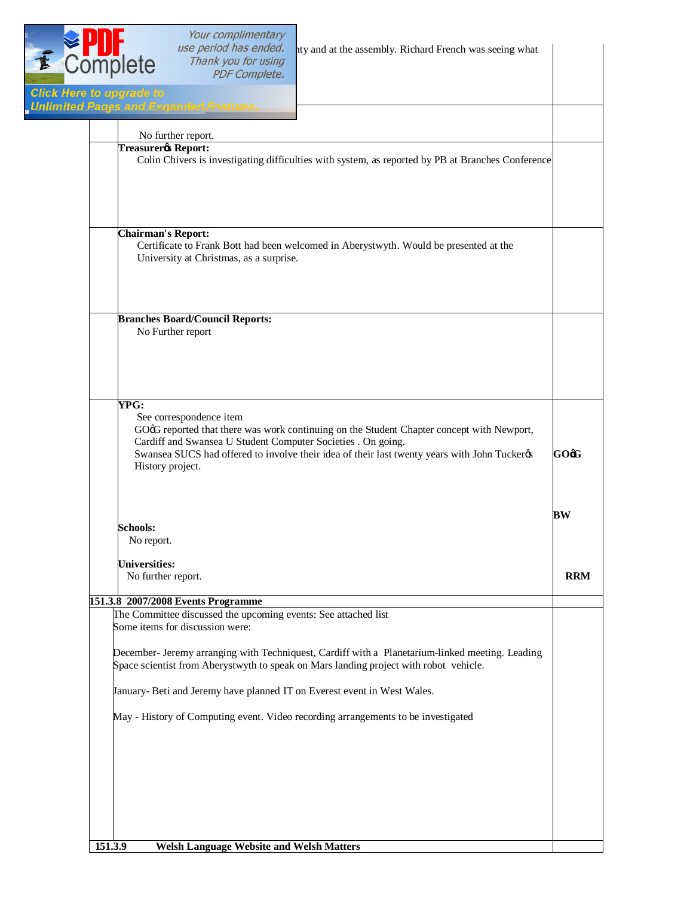| E Complete                                                                                                                                                                                                                                                                                                       | Your complimentary<br>use period has ended.<br>Thank you for using<br><b>PDF Complete.</b>        | ity and at the assembly. Richard French was seeing what                                                                                                                                  |            |
|------------------------------------------------------------------------------------------------------------------------------------------------------------------------------------------------------------------------------------------------------------------------------------------------------------------|---------------------------------------------------------------------------------------------------|------------------------------------------------------------------------------------------------------------------------------------------------------------------------------------------|------------|
| <b>Click Here to upgrade to</b>                                                                                                                                                                                                                                                                                  | <b>Unlimited Pages and Expanded Features</b>                                                      |                                                                                                                                                                                          |            |
|                                                                                                                                                                                                                                                                                                                  |                                                                                                   |                                                                                                                                                                                          |            |
| No further report.<br><b>Treasurer</b> Report:<br>Colin Chivers is investigating difficulties with system, as reported by PB at Branches Conference                                                                                                                                                              |                                                                                                   |                                                                                                                                                                                          |            |
| <b>Chairman's Report:</b>                                                                                                                                                                                                                                                                                        | University at Christmas, as a surprise.                                                           | Certificate to Frank Bott had been welcomed in Aberystwyth. Would be presented at the                                                                                                    |            |
|                                                                                                                                                                                                                                                                                                                  | <b>Branches Board/Council Reports:</b><br>No Further report                                       |                                                                                                                                                                                          |            |
| YPG:<br>See correspondence item<br>GOøG reported that there was work continuing on the Student Chapter concept with Newport,<br>Cardiff and Swansea U Student Computer Societies . On going.<br>Swansea SUCS had offered to involve their idea of their last twenty years with John Tuckerøs<br>History project. |                                                                                                   |                                                                                                                                                                                          | GOøG       |
| <b>Schools:</b><br>No report.                                                                                                                                                                                                                                                                                    |                                                                                                   |                                                                                                                                                                                          | BW         |
| <b>Universities:</b><br>No further report.                                                                                                                                                                                                                                                                       |                                                                                                   |                                                                                                                                                                                          | <b>RRM</b> |
|                                                                                                                                                                                                                                                                                                                  | 151.3.8 2007/2008 Events Programme                                                                |                                                                                                                                                                                          |            |
|                                                                                                                                                                                                                                                                                                                  | The Committee discussed the upcoming events: See attached list<br>Some items for discussion were: |                                                                                                                                                                                          |            |
|                                                                                                                                                                                                                                                                                                                  |                                                                                                   | December- Jeremy arranging with Techniquest, Cardiff with a Planetarium-linked meeting. Leading<br>Space scientist from Aberystwyth to speak on Mars landing project with robot vehicle. |            |
|                                                                                                                                                                                                                                                                                                                  |                                                                                                   | January- Beti and Jeremy have planned IT on Everest event in West Wales.                                                                                                                 |            |
|                                                                                                                                                                                                                                                                                                                  |                                                                                                   | May - History of Computing event. Video recording arrangements to be investigated                                                                                                        |            |
|                                                                                                                                                                                                                                                                                                                  |                                                                                                   |                                                                                                                                                                                          |            |
| 151.3.9                                                                                                                                                                                                                                                                                                          | <b>Welsh Language Website and Welsh Matters</b>                                                   |                                                                                                                                                                                          |            |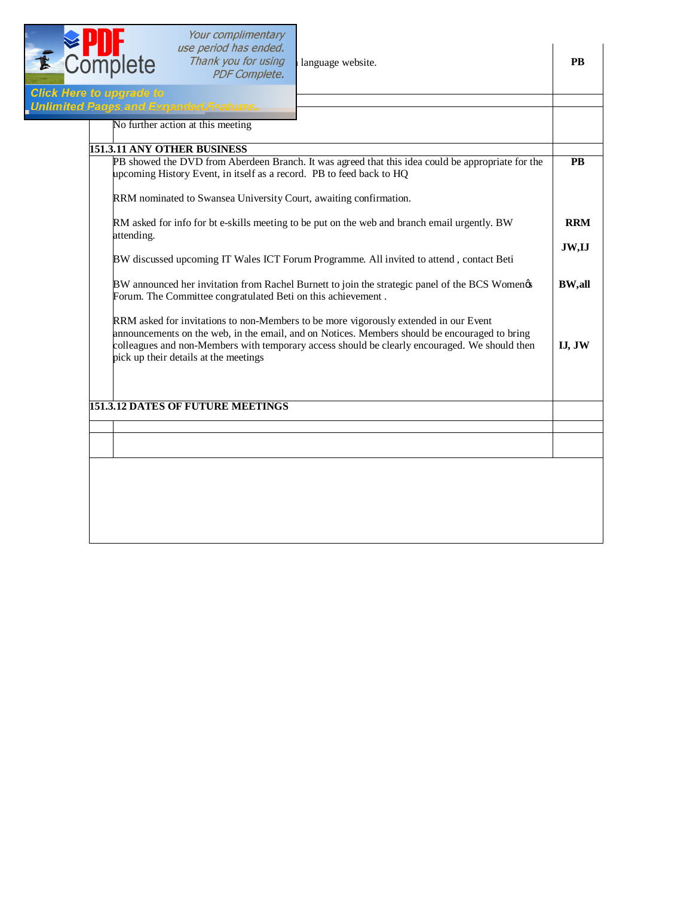

| <b>Inlimited Pages and Expanded Features</b><br>No further action at this meeting                                                                                                                                                                                                                                               |               |
|---------------------------------------------------------------------------------------------------------------------------------------------------------------------------------------------------------------------------------------------------------------------------------------------------------------------------------|---------------|
| 151.3.11 ANY OTHER BUSINESS                                                                                                                                                                                                                                                                                                     |               |
| PB showed the DVD from Aberdeen Branch. It was agreed that this idea could be appropriate for the<br>upcoming History Event, in itself as a record. PB to feed back to HQ                                                                                                                                                       | <b>PB</b>     |
| RRM nominated to Swansea University Court, awaiting confirmation.                                                                                                                                                                                                                                                               |               |
| RM asked for info for bt e-skills meeting to be put on the web and branch email urgently. BW<br>attending.                                                                                                                                                                                                                      | <b>RRM</b>    |
| BW discussed upcoming IT Wales ICT Forum Programme. All invited to attend, contact Beti                                                                                                                                                                                                                                         | JW,IJ         |
| BW announced her invitation from Rachel Burnett to join the strategic panel of the BCS Women¢s<br>Forum. The Committee congratulated Beti on this achievement.                                                                                                                                                                  | <b>BW,all</b> |
| RRM asked for invitations to non-Members to be more vigorously extended in our Event<br>announcements on the web, in the email, and on Notices. Members should be encouraged to bring<br>colleagues and non-Members with temporary access should be clearly encouraged. We should then<br>pick up their details at the meetings | IJ, JW        |
| <b>151.3.12 DATES OF FUTURE MEETINGS</b>                                                                                                                                                                                                                                                                                        |               |
|                                                                                                                                                                                                                                                                                                                                 |               |
|                                                                                                                                                                                                                                                                                                                                 |               |
|                                                                                                                                                                                                                                                                                                                                 |               |
|                                                                                                                                                                                                                                                                                                                                 |               |
|                                                                                                                                                                                                                                                                                                                                 |               |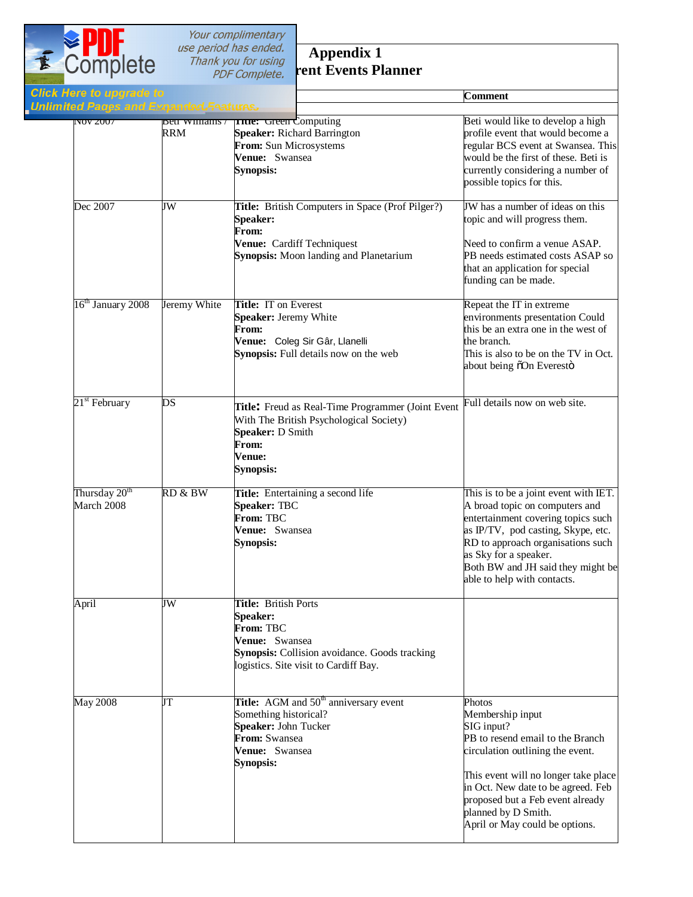

# **Appendix 1 Current Events Planner**

| ck Here to upgrade to<br>limited Pages and Expanded Features |              |                                                                                                                                                                         | Comment                                                                                                                                                                                                                                                                                     |
|--------------------------------------------------------------|--------------|-------------------------------------------------------------------------------------------------------------------------------------------------------------------------|---------------------------------------------------------------------------------------------------------------------------------------------------------------------------------------------------------------------------------------------------------------------------------------------|
| $\overline{1}$ NOV ZUUT                                      | RRM          | peu winnams / <b>True:</b> Green Computing<br><b>Speaker: Richard Barrington</b><br>From: Sun Microsystems<br>Venue: Swansea<br><b>Synopsis:</b>                        | Beti would like to develop a high<br>profile event that would become a<br>regular BCS event at Swansea. This<br>would be the first of these. Beti is<br>currently considering a number of<br>possible topics for this.                                                                      |
| Dec 2007                                                     | JW           | Title: British Computers in Space (Prof Pilger?)<br><b>Speaker:</b><br>From:<br>Venue: Cardiff Techniquest<br><b>Synopsis:</b> Moon landing and Planetarium             | JW has a number of ideas on this<br>topic and will progress them.<br>Need to confirm a venue ASAP.<br>PB needs estimated costs ASAP so<br>that an application for special<br>funding can be made.                                                                                           |
| 16 <sup>th</sup> January 2008                                | Jeremy White | <b>Title: IT on Everest</b><br>Speaker: Jeremy White<br>From:<br>Venue: Coleg Sir Gâr, Llanelli<br>Synopsis: Full details now on the web                                | Repeat the IT in extreme<br>environments presentation Could<br>this be an extra one in the west of<br>the branch.<br>This is also to be on the TV in Oct.<br>about being õOn Everestö                                                                                                       |
| 21 <sup>st</sup> February                                    | DS           | Title: Freud as Real-Time Programmer (Joint Event<br>With The British Psychological Society)<br>Speaker: D Smith<br>From:<br>Venue:<br>Synopsis:                        | Full details now on web site.                                                                                                                                                                                                                                                               |
| Thursday 20 <sup>th</sup><br>March 2008                      | RD & BW      | Title: Entertaining a second life<br>Speaker: TBC<br>From: TBC<br>Venue: Swansea<br><b>Synopsis:</b>                                                                    | This is to be a joint event with IET.<br>A broad topic on computers and<br>entertainment covering topics such<br>as IP/TV, pod casting, Skype, etc.<br>RD to approach organisations such<br>as Sky for a speaker.<br>Both BW and JH said they might be<br>able to help with contacts.       |
| April                                                        | JW           | Title: British Ports<br><b>Speaker:</b><br>From: TBC<br>Venue: Swansea<br><b>Synopsis:</b> Collision avoidance. Goods tracking<br>logistics. Site visit to Cardiff Bay. |                                                                                                                                                                                                                                                                                             |
| <b>May 2008</b>                                              | JT           | <b>Title:</b> AGM and $50^{\text{th}}$ anniversary event<br>Something historical?<br>Speaker: John Tucker<br>From: Swansea<br>Venue: Swansea<br><b>Synopsis:</b>        | Photos<br>Membership input<br>SIG input?<br>PB to resend email to the Branch<br>circulation outlining the event.<br>This event will no longer take place<br>in Oct. New date to be agreed. Feb<br>proposed but a Feb event already<br>planned by D Smith.<br>April or May could be options. |